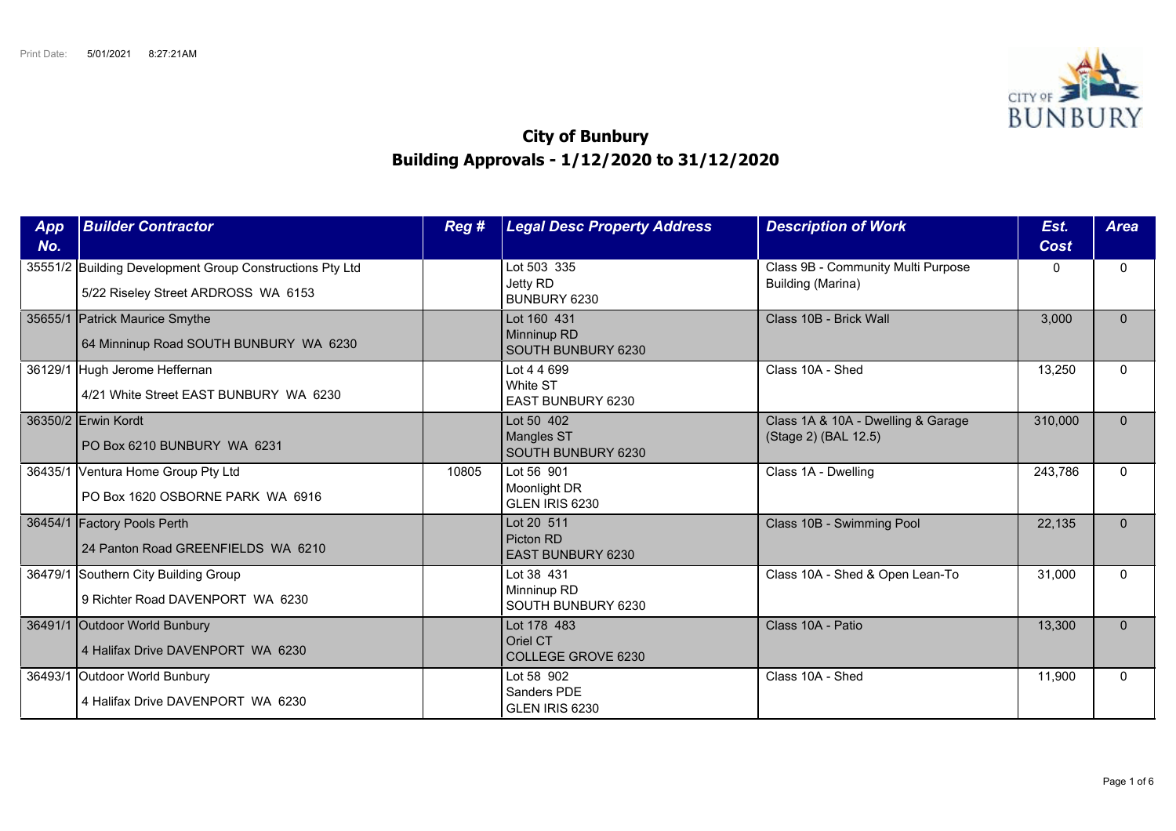

## **City of Bunbury Building Approvals - 1/12/2020 to 31/12/2020**

| App<br>No. | <b>Builder Contractor</b>                                                                       | Reg # | <b>Legal Desc Property Address</b>                    | <b>Description of Work</b>                                 | Est.<br>Cost | <b>Area</b>  |
|------------|-------------------------------------------------------------------------------------------------|-------|-------------------------------------------------------|------------------------------------------------------------|--------------|--------------|
|            | 35551/2 Building Development Group Constructions Pty Ltd<br>5/22 Riseley Street ARDROSS WA 6153 |       | Lot 503 335<br>Jetty RD<br>BUNBURY 6230               | Class 9B - Community Multi Purpose<br>Building (Marina)    | 0            | $\Omega$     |
|            | 35655/1 Patrick Maurice Smythe<br>64 Minninup Road SOUTH BUNBURY WA 6230                        |       | Lot 160 431<br>Minninup RD<br>SOUTH BUNBURY 6230      | Class 10B - Brick Wall                                     | 3,000        | $\Omega$     |
| 36129/1    | Hugh Jerome Heffernan<br>4/21 White Street EAST BUNBURY WA 6230                                 |       | Lot 4 4 699<br>White ST<br><b>EAST BUNBURY 6230</b>   | Class 10A - Shed                                           | 13,250       | $\Omega$     |
|            | 36350/2 Erwin Kordt<br>PO Box 6210 BUNBURY WA 6231                                              |       | Lot 50 402<br><b>Mangles ST</b><br>SOUTH BUNBURY 6230 | Class 1A & 10A - Dwelling & Garage<br>(Stage 2) (BAL 12.5) | 310,000      | $\Omega$     |
|            | 36435/1 Ventura Home Group Pty Ltd<br>PO Box 1620 OSBORNE PARK WA 6916                          | 10805 | Lot 56 901<br>Moonlight DR<br>GLEN IRIS 6230          | Class 1A - Dwelling                                        | 243,786      | $\Omega$     |
|            | 36454/1 Factory Pools Perth<br>24 Panton Road GREENFIELDS WA 6210                               |       | Lot 20 511<br>Picton RD<br><b>EAST BUNBURY 6230</b>   | Class 10B - Swimming Pool                                  | 22,135       | $\mathbf{0}$ |
|            | 36479/1 Southern City Building Group<br>9 Richter Road DAVENPORT WA 6230                        |       | Lot 38 431<br>Minninup RD<br>SOUTH BUNBURY 6230       | Class 10A - Shed & Open Lean-To                            | 31,000       | $\Omega$     |
|            | 36491/1 Outdoor World Bunbury<br>4 Halifax Drive DAVENPORT WA 6230                              |       | Lot 178 483<br>Oriel CT<br>COLLEGE GROVE 6230         | Class 10A - Patio                                          | 13,300       | $\Omega$     |
| 36493/1    | Outdoor World Bunbury<br>4 Halifax Drive DAVENPORT WA 6230                                      |       | Lot 58 902<br>Sanders PDE<br>GLEN IRIS 6230           | Class 10A - Shed                                           | 11,900       | $\Omega$     |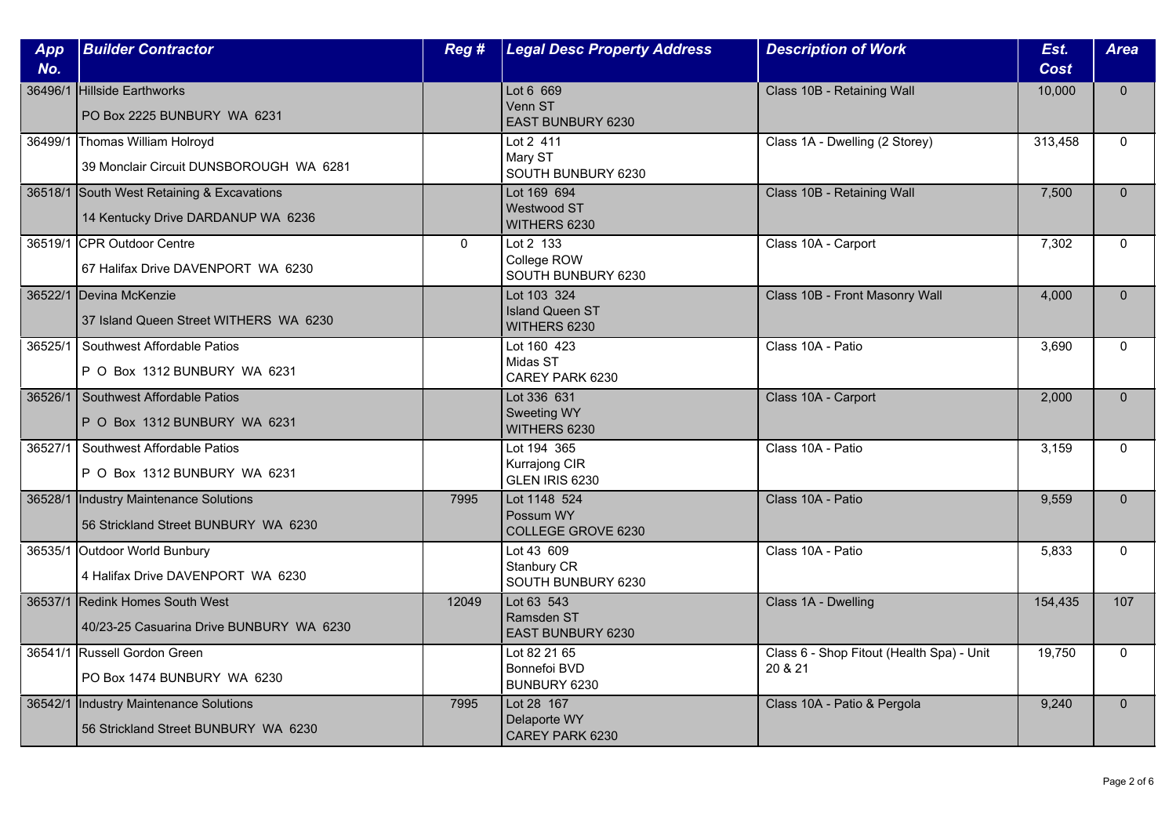| App<br>No. | <b>Builder Contractor</b>                                                        | Reg #    | <b>Legal Desc Property Address</b>                    | <b>Description of Work</b>                           | Est.<br><b>Cost</b> | <b>Area</b>  |
|------------|----------------------------------------------------------------------------------|----------|-------------------------------------------------------|------------------------------------------------------|---------------------|--------------|
| 36496/1    | Hillside Earthworks<br>PO Box 2225 BUNBURY WA 6231                               |          | Lot 6 669<br>Venn ST<br>EAST BUNBURY 6230             | Class 10B - Retaining Wall                           | 10,000              | $\Omega$     |
|            | 36499/1 Thomas William Holroyd<br>39 Monclair Circuit DUNSBOROUGH WA 6281        |          | Lot 2 411<br>Mary ST<br>SOUTH BUNBURY 6230            | Class 1A - Dwelling (2 Storey)                       | 313,458             | $\Omega$     |
|            | 36518/1 South West Retaining & Excavations<br>14 Kentucky Drive DARDANUP WA 6236 |          | Lot 169 694<br>Westwood ST<br>WITHERS 6230            | Class 10B - Retaining Wall                           | 7,500               | $\mathbf{0}$ |
|            | 36519/1 CPR Outdoor Centre<br>67 Halifax Drive DAVENPORT WA 6230                 | $\Omega$ | Lot 2 133<br>College ROW<br>SOUTH BUNBURY 6230        | Class 10A - Carport                                  | 7,302               | $\Omega$     |
|            | 36522/1 Devina McKenzie<br>37 Island Queen Street WITHERS WA 6230                |          | Lot 103 324<br><b>Island Queen ST</b><br>WITHERS 6230 | Class 10B - Front Masonry Wall                       | 4,000               | $\Omega$     |
| 36525/1    | Southwest Affordable Patios<br>P O Box 1312 BUNBURY WA 6231                      |          | Lot 160 423<br>Midas ST<br>CAREY PARK 6230            | Class 10A - Patio                                    | 3,690               | $\Omega$     |
| 36526/1    | Southwest Affordable Patios<br>P O Box 1312 BUNBURY WA 6231                      |          | Lot 336 631<br>Sweeting WY<br>WITHERS 6230            | Class 10A - Carport                                  | 2,000               | $\mathbf{0}$ |
| 36527/1    | Southwest Affordable Patios<br>P O Box 1312 BUNBURY WA 6231                      |          | Lot 194 365<br>Kurrajong CIR<br>GLEN IRIS 6230        | Class 10A - Patio                                    | 3,159               | $\Omega$     |
|            | 36528/1  Industry Maintenance Solutions<br>56 Strickland Street BUNBURY WA 6230  | 7995     | Lot 1148 524<br>Possum WY<br>COLLEGE GROVE 6230       | Class 10A - Patio                                    | 9,559               | $\Omega$     |
|            | 36535/1 Outdoor World Bunbury<br>4 Halifax Drive DAVENPORT WA 6230               |          | Lot 43 609<br>Stanbury CR<br>SOUTH BUNBURY 6230       | Class 10A - Patio                                    | 5,833               | $\mathbf{0}$ |
|            | 36537/1 Redink Homes South West<br>40/23-25 Casuarina Drive BUNBURY WA 6230      | 12049    | Lot 63 543<br>Ramsden ST<br><b>EAST BUNBURY 6230</b>  | Class 1A - Dwelling                                  | 154,435             | 107          |
|            | 36541/1 Russell Gordon Green<br>PO Box 1474 BUNBURY WA 6230                      |          | Lot 82 21 65<br>Bonnefoi BVD<br>BUNBURY 6230          | Class 6 - Shop Fitout (Health Spa) - Unit<br>20 & 21 | 19,750              | $\mathbf{0}$ |
| 36542/1    | Industry Maintenance Solutions<br>56 Strickland Street BUNBURY WA 6230           | 7995     | Lot 28 167<br>Delaporte WY<br>CAREY PARK 6230         | Class 10A - Patio & Pergola                          | 9,240               | $\mathbf{0}$ |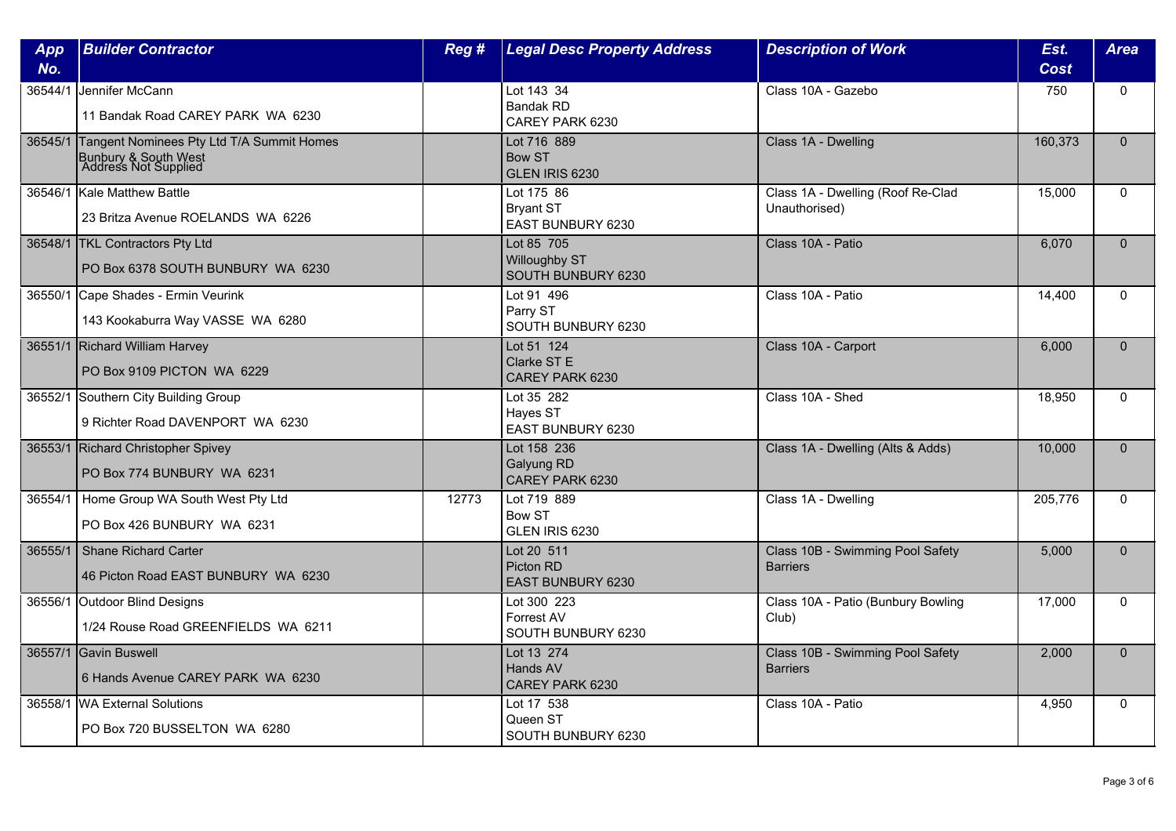| App<br>No. | <b>Builder Contractor</b>                                                                         | Reg # | <b>Legal Desc Property Address</b>                              | <b>Description of Work</b>                          | Est.<br><b>Cost</b> | <b>Area</b>  |
|------------|---------------------------------------------------------------------------------------------------|-------|-----------------------------------------------------------------|-----------------------------------------------------|---------------------|--------------|
| 36544/1    | Jennifer McCann<br>11 Bandak Road CAREY PARK WA 6230                                              |       | Lot 143 34<br><b>Bandak RD</b><br>CAREY PARK 6230               | Class 10A - Gazebo                                  | 750                 | $\Omega$     |
|            | 36545/1 Tangent Nominees Pty Ltd T/A Summit Homes<br>Bunbury & South West<br>Address Not Supplied |       | Lot 716 889<br><b>Bow ST</b><br><b>GLEN IRIS 6230</b>           | Class 1A - Dwelling                                 | 160,373             | $\Omega$     |
| 36546/1    | <b>Kale Matthew Battle</b><br>23 Britza Avenue ROELANDS WA 6226                                   |       | Lot 175 86<br><b>Bryant ST</b><br>EAST BUNBURY 6230             | Class 1A - Dwelling (Roof Re-Clad<br>Unauthorised)  | 15,000              | $\mathbf{0}$ |
|            | 36548/1 TKL Contractors Pty Ltd<br>PO Box 6378 SOUTH BUNBURY WA 6230                              |       | Lot 85 705<br><b>Willoughby ST</b><br><b>SOUTH BUNBURY 6230</b> | Class 10A - Patio                                   | 6,070               | $\Omega$     |
| 36550/1    | Cape Shades - Ermin Veurink<br>143 Kookaburra Way VASSE WA 6280                                   |       | Lot 91 496<br>Parry ST<br>SOUTH BUNBURY 6230                    | Class 10A - Patio                                   | 14,400              | $\mathbf{0}$ |
|            | 36551/1 Richard William Harvey<br>PO Box 9109 PICTON WA 6229                                      |       | Lot 51 124<br>Clarke ST E<br>CAREY PARK 6230                    | Class 10A - Carport                                 | 6.000               | $\Omega$     |
|            | 36552/1 Southern City Building Group<br>9 Richter Road DAVENPORT WA 6230                          |       | Lot 35 282<br>Hayes ST<br>EAST BUNBURY 6230                     | Class 10A - Shed                                    | 18.950              | $\mathbf{0}$ |
|            | 36553/1 Richard Christopher Spivey<br>PO Box 774 BUNBURY WA 6231                                  |       | Lot 158 236<br>Galyung RD<br>CAREY PARK 6230                    | Class 1A - Dwelling (Alts & Adds)                   | 10,000              | $\Omega$     |
| 36554/1    | Home Group WA South West Pty Ltd<br>PO Box 426 BUNBURY WA 6231                                    | 12773 | Lot 719 889<br><b>Bow ST</b><br>GLEN IRIS 6230                  | Class 1A - Dwelling                                 | 205,776             | $\Omega$     |
| 36555/1    | Shane Richard Carter<br>46 Picton Road EAST BUNBURY WA 6230                                       |       | Lot 20 511<br>Picton RD<br><b>EAST BUNBURY 6230</b>             | Class 10B - Swimming Pool Safety<br><b>Barriers</b> | 5,000               | $\Omega$     |
| 36556/1    | Outdoor Blind Designs<br>1/24 Rouse Road GREENFIELDS WA 6211                                      |       | Lot 300 223<br>Forrest AV<br>SOUTH BUNBURY 6230                 | Class 10A - Patio (Bunbury Bowling<br>Club)         | 17,000              | $\Omega$     |
|            | 36557/1 Gavin Buswell<br>6 Hands Avenue CAREY PARK WA 6230                                        |       | Lot 13 274<br>Hands AV<br>CAREY PARK 6230                       | Class 10B - Swimming Pool Safety<br><b>Barriers</b> | 2,000               | $\mathbf{0}$ |
|            | 36558/1 WA External Solutions<br>PO Box 720 BUSSELTON WA 6280                                     |       | Lot 17 538<br>Queen ST<br>SOUTH BUNBURY 6230                    | Class 10A - Patio                                   | 4,950               | $\Omega$     |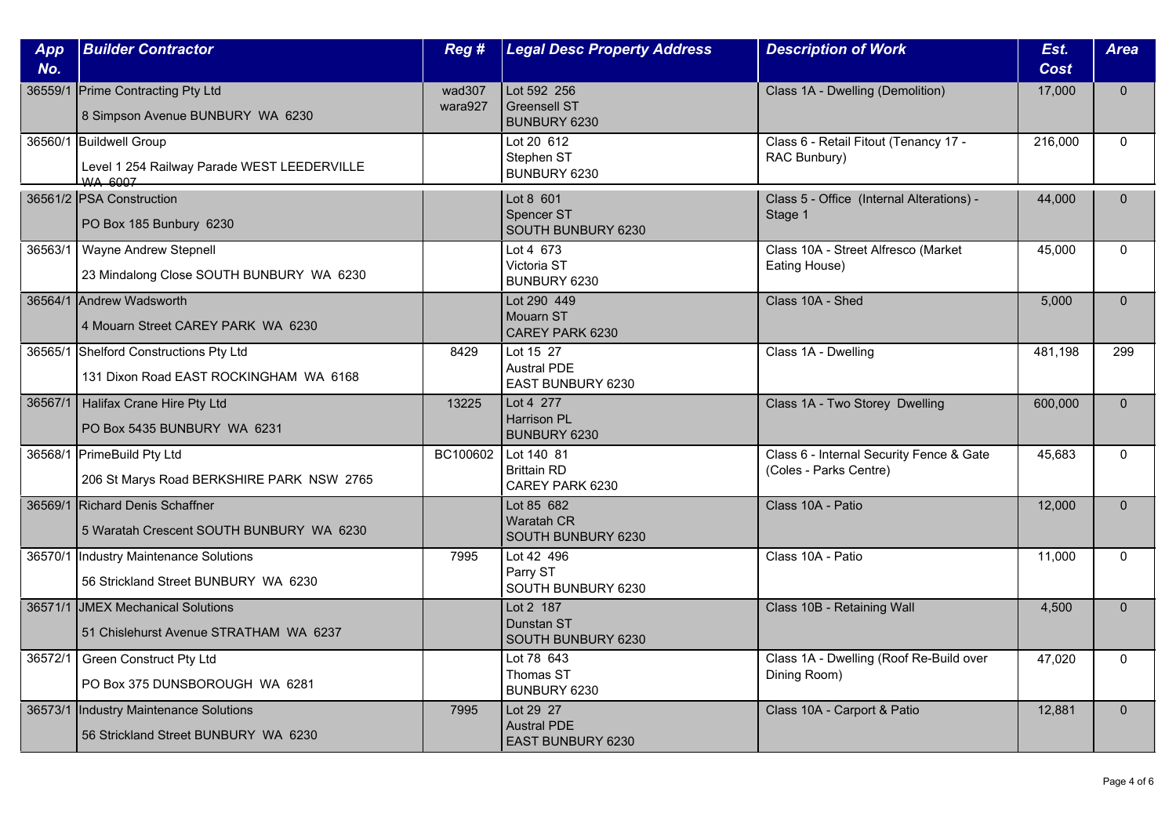| App     | <b>Builder Contractor</b>                                                                | Reg #             | <b>Legal Desc Property Address</b>                          | <b>Description of Work</b>                                         | Est.    | <b>Area</b>  |
|---------|------------------------------------------------------------------------------------------|-------------------|-------------------------------------------------------------|--------------------------------------------------------------------|---------|--------------|
| No.     |                                                                                          |                   |                                                             |                                                                    | Cost    |              |
|         | 36559/1 Prime Contracting Pty Ltd<br>8 Simpson Avenue BUNBURY WA 6230                    | wad307<br>wara927 | Lot 592 256<br><b>Greensell ST</b><br>BUNBURY 6230          | Class 1A - Dwelling (Demolition)                                   | 17,000  | $\mathbf{0}$ |
|         | 36560/1 Buildwell Group<br>Level 1 254 Railway Parade WEST LEEDERVILLE<br><b>WA 6007</b> |                   | Lot 20 612<br>Stephen ST<br>BUNBURY 6230                    | Class 6 - Retail Fitout (Tenancy 17 -<br>RAC Bunbury)              | 216,000 | $\mathbf{0}$ |
|         | 36561/2 PSA Construction<br>PO Box 185 Bunbury 6230                                      |                   | Lot 8 601<br>Spencer ST<br>SOUTH BUNBURY 6230               | Class 5 - Office (Internal Alterations) -<br>Stage 1               | 44,000  | $\Omega$     |
| 36563/1 | Wayne Andrew Stepnell<br>23 Mindalong Close SOUTH BUNBURY WA 6230                        |                   | Lot 4 673<br>Victoria ST<br>BUNBURY 6230                    | Class 10A - Street Alfresco (Market<br>Eating House)               | 45,000  | $\mathbf{0}$ |
|         | 36564/1 Andrew Wadsworth<br>4 Mouarn Street CAREY PARK WA 6230                           |                   | Lot 290 449<br>Mouarn ST<br>CAREY PARK 6230                 | Class 10A - Shed                                                   | 5,000   | $\mathbf{0}$ |
|         | 36565/1 Shelford Constructions Pty Ltd<br>131 Dixon Road EAST ROCKINGHAM WA 6168         | 8429              | Lot 15 27<br><b>Austral PDE</b><br>EAST BUNBURY 6230        | Class 1A - Dwelling                                                | 481,198 | 299          |
| 36567/1 | Halifax Crane Hire Pty Ltd<br>PO Box 5435 BUNBURY WA 6231                                | 13225             | Lot 4 277<br>Harrison PL<br>BUNBURY 6230                    | Class 1A - Two Storey Dwelling                                     | 600,000 | $\mathbf{0}$ |
| 36568/1 | <b>PrimeBuild Pty Ltd</b><br>206 St Marys Road BERKSHIRE PARK NSW 2765                   | BC100602          | Lot 140 81<br><b>Brittain RD</b><br>CAREY PARK 6230         | Class 6 - Internal Security Fence & Gate<br>(Coles - Parks Centre) | 45.683  | $\Omega$     |
|         | 36569/1 Richard Denis Schaffner<br>5 Waratah Crescent SOUTH BUNBURY WA 6230              |                   | Lot 85 682<br><b>Waratah CR</b><br>SOUTH BUNBURY 6230       | Class 10A - Patio                                                  | 12,000  | $\mathbf{0}$ |
| 36570/1 | Industry Maintenance Solutions<br>56 Strickland Street BUNBURY WA 6230                   | 7995              | Lot 42 496<br>Parry ST<br>SOUTH BUNBURY 6230                | Class 10A - Patio                                                  | 11,000  | $\mathbf{0}$ |
|         | 36571/1 JMEX Mechanical Solutions<br>51 Chislehurst Avenue STRATHAM WA 6237              |                   | Lot 2 187<br>Dunstan ST<br>SOUTH BUNBURY 6230               | Class 10B - Retaining Wall                                         | 4,500   | $\mathbf{0}$ |
| 36572/1 | Green Construct Pty Ltd<br>PO Box 375 DUNSBOROUGH WA 6281                                |                   | Lot 78 643<br>Thomas ST<br>BUNBURY 6230                     | Class 1A - Dwelling (Roof Re-Build over<br>Dining Room)            | 47,020  | $\mathbf{0}$ |
| 36573/1 | Industry Maintenance Solutions<br>56 Strickland Street BUNBURY WA 6230                   | 7995              | Lot 29 27<br><b>Austral PDE</b><br><b>EAST BUNBURY 6230</b> | Class 10A - Carport & Patio                                        | 12,881  | $\mathbf{0}$ |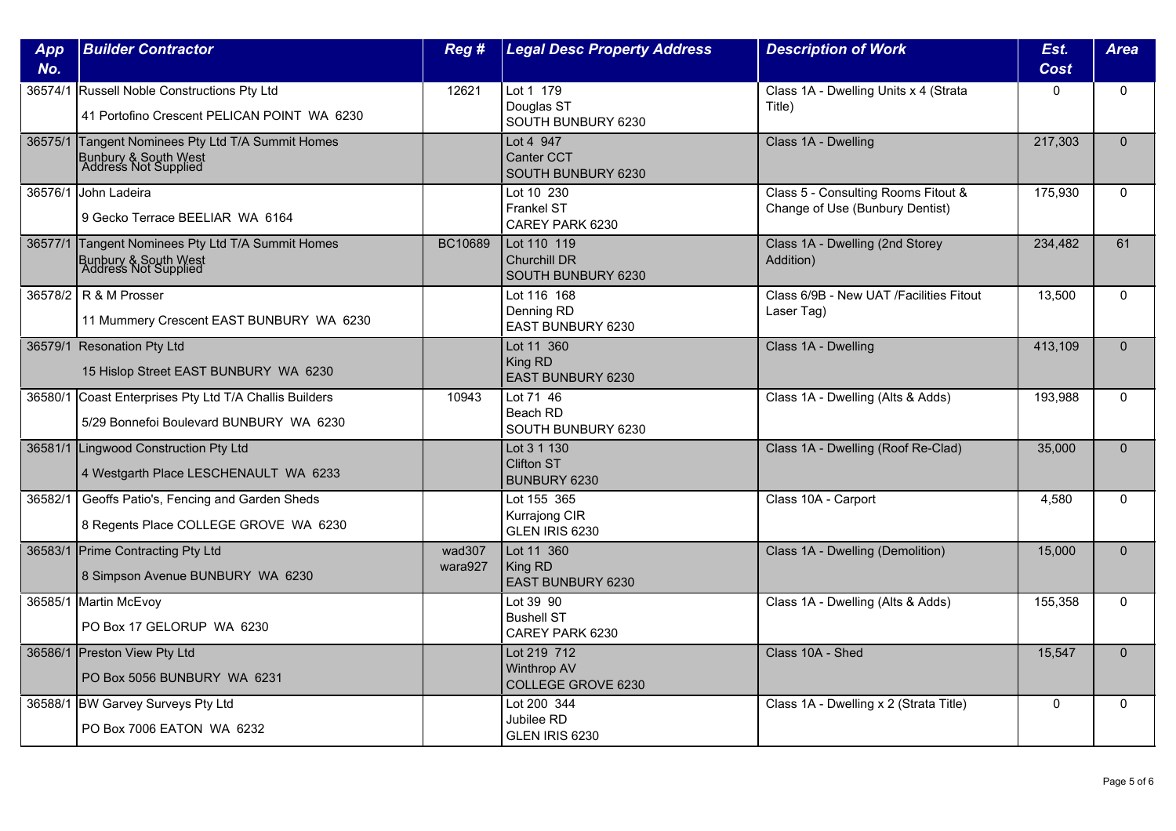| App<br>No. | <b>Builder Contractor</b>                                                                         | Reg #             | <b>Legal Desc Property Address</b>                       | <b>Description of Work</b>                                             | Est.<br><b>Cost</b> | <b>Area</b>  |
|------------|---------------------------------------------------------------------------------------------------|-------------------|----------------------------------------------------------|------------------------------------------------------------------------|---------------------|--------------|
|            | 36574/1 Russell Noble Constructions Pty Ltd<br>41 Portofino Crescent PELICAN POINT WA 6230        | 12621             | Lot 1 179<br>Douglas ST<br>SOUTH BUNBURY 6230            | Class 1A - Dwelling Units x 4 (Strata<br>Title)                        | 0                   | $\mathbf{0}$ |
|            | 36575/1 Tangent Nominees Pty Ltd T/A Summit Homes<br>Bunbury & South West<br>Address Not Supplied |                   | Lot 4 947<br><b>Canter CCT</b><br>SOUTH BUNBURY 6230     | Class 1A - Dwelling                                                    | 217,303             | $\Omega$     |
|            | 36576/1 John Ladeira<br>9 Gecko Terrace BEELIAR WA 6164                                           |                   | Lot 10 230<br><b>Frankel ST</b><br>CAREY PARK 6230       | Class 5 - Consulting Rooms Fitout &<br>Change of Use (Bunbury Dentist) | 175,930             | $\Omega$     |
|            | 36577/1 Tangent Nominees Pty Ltd T/A Summit Homes<br>Bunbury & South West<br>Address Not Supplied | BC10689           | Lot 110 119<br><b>Churchill DR</b><br>SOUTH BUNBURY 6230 | Class 1A - Dwelling (2nd Storey<br>Addition)                           | 234,482             | 61           |
|            | 36578/2 R & M Prosser<br>11 Mummery Crescent EAST BUNBURY WA 6230                                 |                   | Lot 116 168<br>Denning RD<br>EAST BUNBURY 6230           | Class 6/9B - New UAT / Facilities Fitout<br>Laser Tag)                 | 13,500              | $\Omega$     |
|            | 36579/1 Resonation Pty Ltd<br>15 Hislop Street EAST BUNBURY WA 6230                               |                   | Lot 11 360<br>King RD<br><b>EAST BUNBURY 6230</b>        | Class 1A - Dwelling                                                    | 413,109             | $\Omega$     |
|            | 36580/1 Coast Enterprises Pty Ltd T/A Challis Builders<br>5/29 Bonnefoi Boulevard BUNBURY WA 6230 | 10943             | Lot 71 46<br>Beach RD<br>SOUTH BUNBURY 6230              | Class 1A - Dwelling (Alts & Adds)                                      | 193,988             | $\mathbf 0$  |
|            | 36581/1 Lingwood Construction Pty Ltd<br>4 Westgarth Place LESCHENAULT WA 6233                    |                   | Lot 3 1 130<br><b>Clifton ST</b><br>BUNBURY 6230         | Class 1A - Dwelling (Roof Re-Clad)                                     | 35,000              | $\mathbf{0}$ |
| 36582/1    | Geoffs Patio's, Fencing and Garden Sheds<br>8 Regents Place COLLEGE GROVE WA 6230                 |                   | Lot 155 365<br>Kurrajong CIR<br>GLEN IRIS 6230           | Class 10A - Carport                                                    | 4,580               | $\Omega$     |
|            | 36583/1 Prime Contracting Pty Ltd<br>8 Simpson Avenue BUNBURY WA 6230                             | wad307<br>wara927 | Lot 11 360<br>King RD<br><b>EAST BUNBURY 6230</b>        | Class 1A - Dwelling (Demolition)                                       | 15,000              | $\mathbf{0}$ |
| 36585/1    | Martin McEvoy<br>PO Box 17 GELORUP WA 6230                                                        |                   | Lot 39 90<br><b>Bushell ST</b><br>CAREY PARK 6230        | Class 1A - Dwelling (Alts & Adds)                                      | 155,358             | $\mathbf{0}$ |
|            | 36586/1 Preston View Pty Ltd<br>PO Box 5056 BUNBURY WA 6231                                       |                   | Lot 219 712<br><b>Winthrop AV</b><br>COLLEGE GROVE 6230  | Class 10A - Shed                                                       | 15,547              | $\Omega$     |
|            | 36588/1 BW Garvey Surveys Pty Ltd<br>PO Box 7006 EATON WA 6232                                    |                   | Lot 200 344<br>Jubilee RD<br>GLEN IRIS 6230              | Class 1A - Dwelling x 2 (Strata Title)                                 | $\Omega$            | $\mathbf{0}$ |